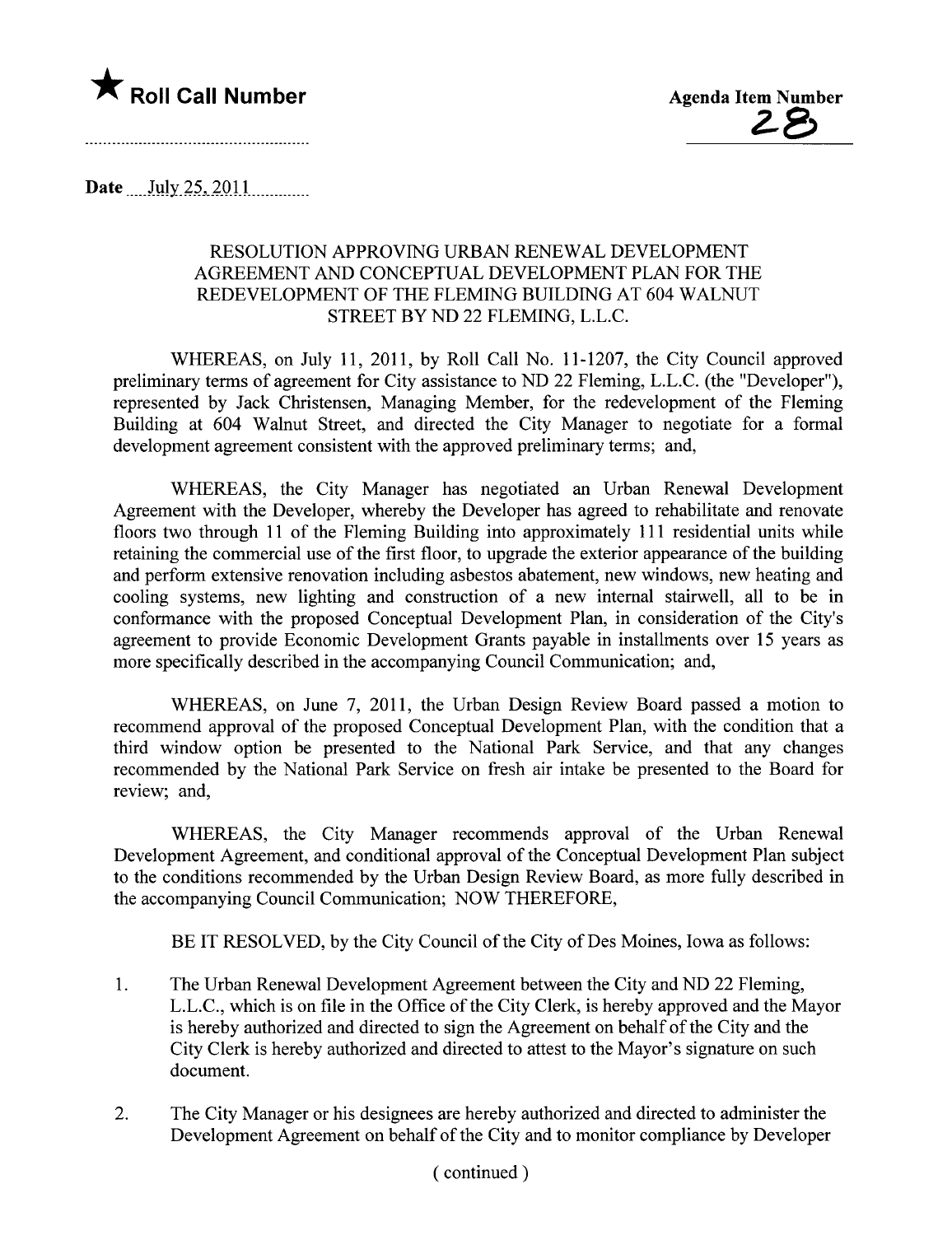

Date  $\text{July} 25, 2011$   $\ldots$ 

## RESOLUTION APPROVING URBAN RENEWAL DEVELOPMENT AGREEMENT AND CONCEPTUAL DEVELOPMENT PLAN FOR THE REDEVELOPMENT OF THE FLEMING BUILDING AT 604 WALNUT STREET BY ND 22 FLEMING, L.L.C.

WHEREAS, on July 11, 2011, by Roll Call No. 11-1207, the City Council approved preliminary terms of agreement for City assistance to ND 22 Fleming, L.L.C. (the "Developer"), represented by Jack Christensen, Managing Member, for the redevelopment of the Fleming Building at 604 Walnut Street, and directed the City Manager to negotiate for a formal development agreement consistent with the approved preliminary terms; and,

WHEREAS, the City Manager has negotiated an Urban Renewal Development Agreement with the Developer, whereby the Developer has agreed to rehabilitate and renovate floors two through 11 of the Fleming Building into approximately 111 residential units while retaining the commercial use of the first floor, to upgrade the exterior appearance of the building and perform extensive renovation including asbestos abatement, new windows, new heating and cooling systems, new lighting and construction of a new internal stairwell, all to be in conformance with the proposed Conceptual Development Plan, in consideration of the City's agreement to provide Economic Development Grants payable in installments over 15 years as more specifically described in the accompanying Council Communication; and,

WHEREAS, on June 7, 2011, the Urban Design Review Board passed a motion to recommend approval of the proposed Conceptual Development Plan, with the condition that a third window option be presented to the National Park Service, and that any changes recommended by the National Park Service on fresh air intake be presented to the Board for review; and,

WHEREAS, the City Manager recommends approval of the Urban Renewal Development Agreement, and conditional approval of the Conceptual Development Plan subject to the conditions recommended by the Urban Design Review Board, as more fully described in the accompanying Council Communication; NOW THEREFORE,

BE IT RESOLVED, by the City Council of the City of Des Moines, Iowa as follows:

- 1. The Urban Renewal Development Agreement between the City and ND 22 Fleming, L.L.C., which is on file in the Office of the City Clerk, is hereby approved and the Mayor is hereby authorized and directed to sign the Agreement on behalf of the City and the City Clerk is hereby authorized and directed to attest to the Mayor's signature on such document.
- 2. The City Manager or his designees are hereby authorized and directed to administer the Development Agreement on behalf of the City and to monitor compliance by Developer